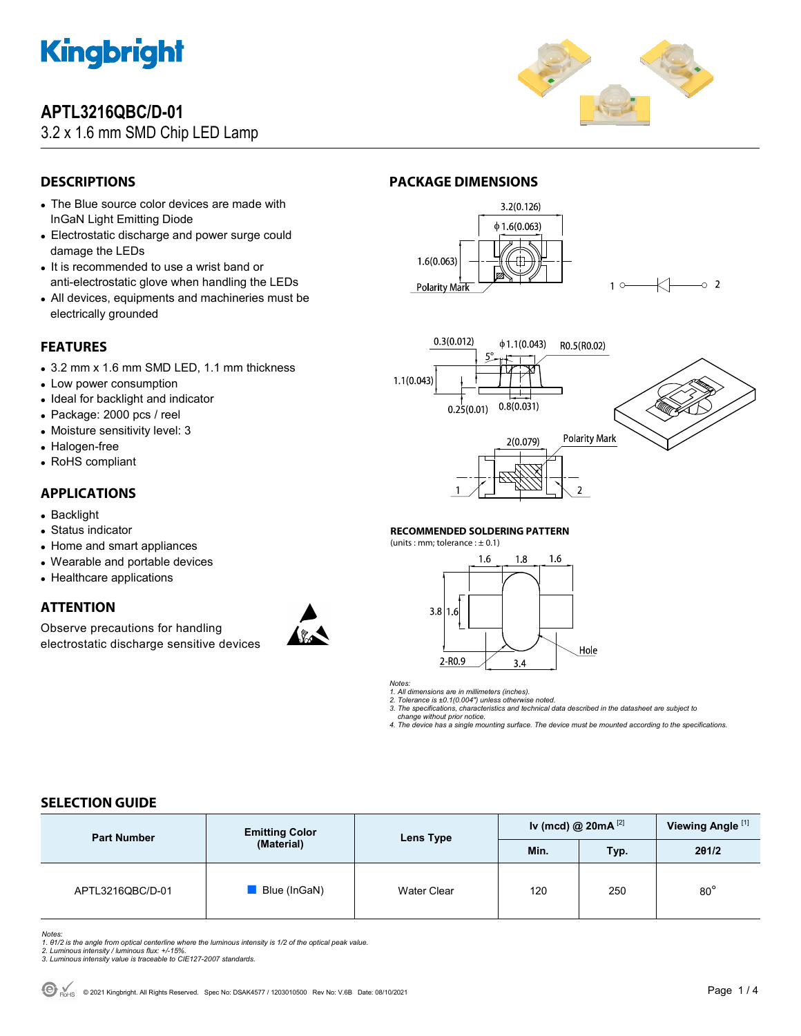

## **APTL3216QBC/D-01**

## 3.2 x 1.6 mm SMD Chip LED Lamp



 $\sim$  2

## **DESCRIPTIONS**

- The Blue source color devices are made with InGaN Light Emitting Diode
- Electrostatic discharge and power surge could damage the LEDs
- It is recommended to use a wrist band or anti-electrostatic glove when handling the LEDs
- All devices, equipments and machineries must be electrically grounded

### **FEATURES**

- 3.2 mm x 1.6 mm SMD LED, 1.1 mm thickness
- Low power consumption
- Ideal for backlight and indicator
- Package: 2000 pcs / reel
- Moisture sensitivity level: 3
- Halogen-free
- RoHS compliant

### **APPLICATIONS**

- Backlight
- Status indicator
- Home and smart appliances
- Wearable and portable devices
- Healthcare applications

### **ATTENTION**

Observe precautions for handling electrostatic discharge sensitive devices





**PACKAGE DIMENSIONS** 



#### **RECOMMENDED SOLDERING PATTERN**

(units : mm; tolerance :  $\pm$  0.1)



*Notes:* 

1. All dimensions are in millimeters (inches).<br>2. Tolerance is ±0.1(0.004") unless otherwise noted.<br>3. The specifications, characteristics and technical data described in the datasheet are subject to

 *change without prior notice.* 

*4. The device has a single mounting surface. The device must be mounted according to the specifications.* 

### **SELECTION GUIDE**

| <b>Part Number</b> | <b>Emitting Color</b><br>(Material) | Lens Type   | Iv (mcd) @ $20mA$ <sup>[2]</sup> |      | Viewing Angle <sup>[1]</sup> |
|--------------------|-------------------------------------|-------------|----------------------------------|------|------------------------------|
|                    |                                     |             | Min.                             | Typ. | 201/2                        |
| APTL3216QBC/D-01   | Blue (InGaN)                        | Water Clear | 120                              | 250  | $80^\circ$                   |

Notes:<br>1. 81/2 is the angle from optical centerline where the luminous intensity is 1/2 of the optical peak value.<br>2. Luminous intensity / luminous flux: +/-15%.<br>3. Luminous intensity value is traceable to CIE127-2007 stan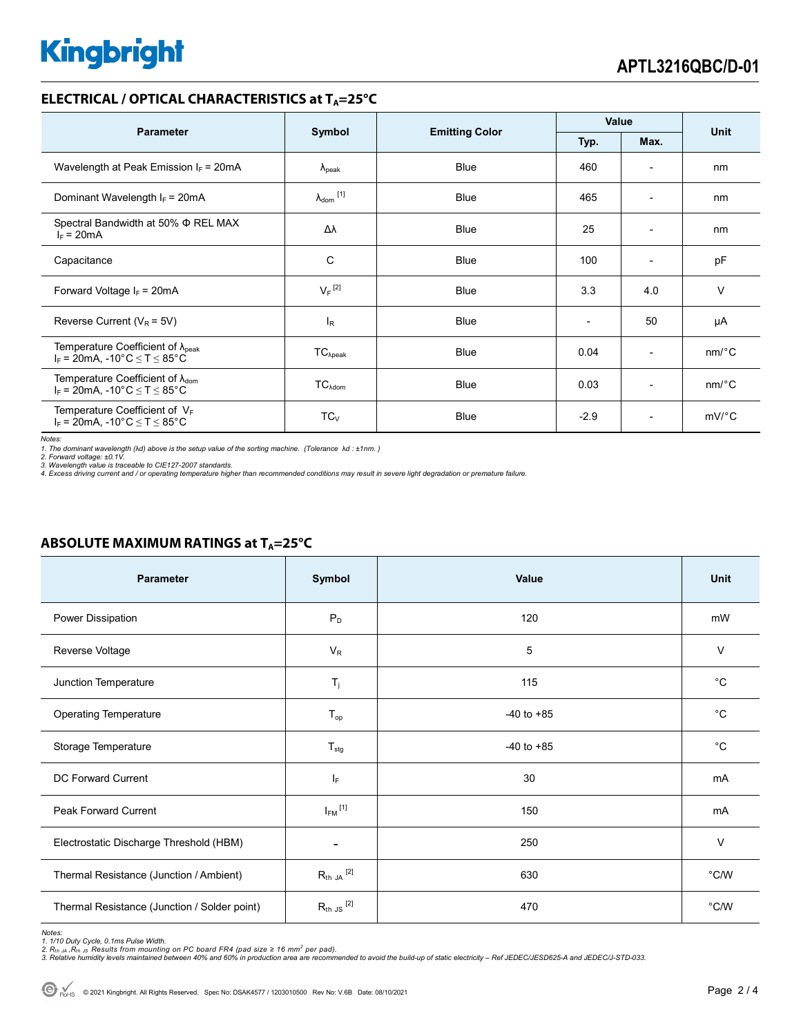# **Kingbright**

#### **ELECTRICAL / OPTICAL CHARACTERISTICS at T<sub>A</sub>=25°C**

| <b>Parameter</b>                                                                             | Symbol                       |                       | Value  |                          |                       |
|----------------------------------------------------------------------------------------------|------------------------------|-----------------------|--------|--------------------------|-----------------------|
|                                                                                              |                              | <b>Emitting Color</b> | Typ.   | Max.                     | Unit                  |
| Wavelength at Peak Emission $I_F$ = 20mA                                                     | $\lambda_{\rm peak}$         | <b>Blue</b>           | 460    |                          | nm                    |
| Dominant Wavelength $I_F$ = 20mA                                                             | $\lambda_{\mathsf{dom}}$ [1] | <b>Blue</b>           | 465    | $\overline{\phantom{a}}$ | nm                    |
| Spectral Bandwidth at 50% $\Phi$ REL MAX<br>$I_F = 20mA$                                     | Δλ                           | <b>Blue</b>           | 25     | $\overline{\phantom{a}}$ | nm                    |
| Capacitance                                                                                  | C                            | <b>Blue</b>           | 100    | $\overline{\phantom{0}}$ | pF                    |
| Forward Voltage $I_F$ = 20mA                                                                 | $V_F$ <sup>[2]</sup>         | Blue                  | 3.3    | 4.0                      | $\vee$                |
| Reverse Current ( $V_R$ = 5V)                                                                | $I_R$                        | Blue                  |        | 50                       | μA                    |
| Temperature Coefficient of $\lambda_{peak}$<br>$I_F$ = 20mA, -10°C $\leq T \leq 85$ °C       | $TC_{\lambda peak}$          | <b>Blue</b>           | 0.04   | $\overline{\phantom{a}}$ | $nm$ <sup>o</sup> $C$ |
| Temperature Coefficient of $\lambda_{\text{dom}}$<br>$I_F$ = 20mA, -10°C $\leq T \leq 85$ °C | $TC_{\lambda dom}$           | <b>Blue</b>           | 0.03   | $\overline{\phantom{a}}$ | $nm$ <sup>o</sup> $C$ |
| Temperature Coefficient of $V_F$<br>$I_F$ = 20mA, -10°C $\leq T \leq 85$ °C                  | $TC_{V}$                     | <b>Blue</b>           | $-2.9$ | $\overline{\phantom{0}}$ | $mV$ °C               |

*Notes:* 

1. The dominant wavelength (λd) above is the setup value of the sorting machine. (Tolerance λd : ±1nm. )<br>2. Forward voltage: ±0.1V.<br>3. Wavelength value is traceable to CIE127-2007 standards.<br>4. Excess driving current and

### **ABSOLUTE MAXIMUM RATINGS at T<sub>A</sub>=25°C**

| <b>Parameter</b>                             | Symbol                   | Value          | Unit           |
|----------------------------------------------|--------------------------|----------------|----------------|
| Power Dissipation                            | $P_D$                    | 120            | mW             |
| Reverse Voltage                              | $V_R$                    | 5              | $\vee$         |
| Junction Temperature                         | $T_j$                    | 115            | $^{\circ}C$    |
| <b>Operating Temperature</b>                 | $T_{op}$                 | $-40$ to $+85$ | $^{\circ}C$    |
| Storage Temperature                          | $T_{\text{stg}}$         | $-40$ to $+85$ | $^{\circ}C$    |
| DC Forward Current                           | ΙF                       | 30             | mA             |
| Peak Forward Current                         | $I_{FM}$ <sup>[1]</sup>  | 150            | mA             |
| Electrostatic Discharge Threshold (HBM)      | $\overline{\phantom{a}}$ | 250            | $\vee$         |
| Thermal Resistance (Junction / Ambient)      | $R_{th}$ JA $^{[2]}$     | 630            | $^{\circ}$ C/W |
| Thermal Resistance (Junction / Solder point) | $R_{th}$ JS $^{[2]}$     | 470            | °C/W           |

Notes:<br>1. 1/10 Duty Cycle, 0.1ms Pulse Width.<br>2. R<sub>th JA</sub> ,R<sub>th JS</sub> Results from mounting on PC board FR4 (pad size ≥ 16 mm<sup>2</sup> per pad).<br>3. Relative humidity levels maintained between 40% and 60% in production area are re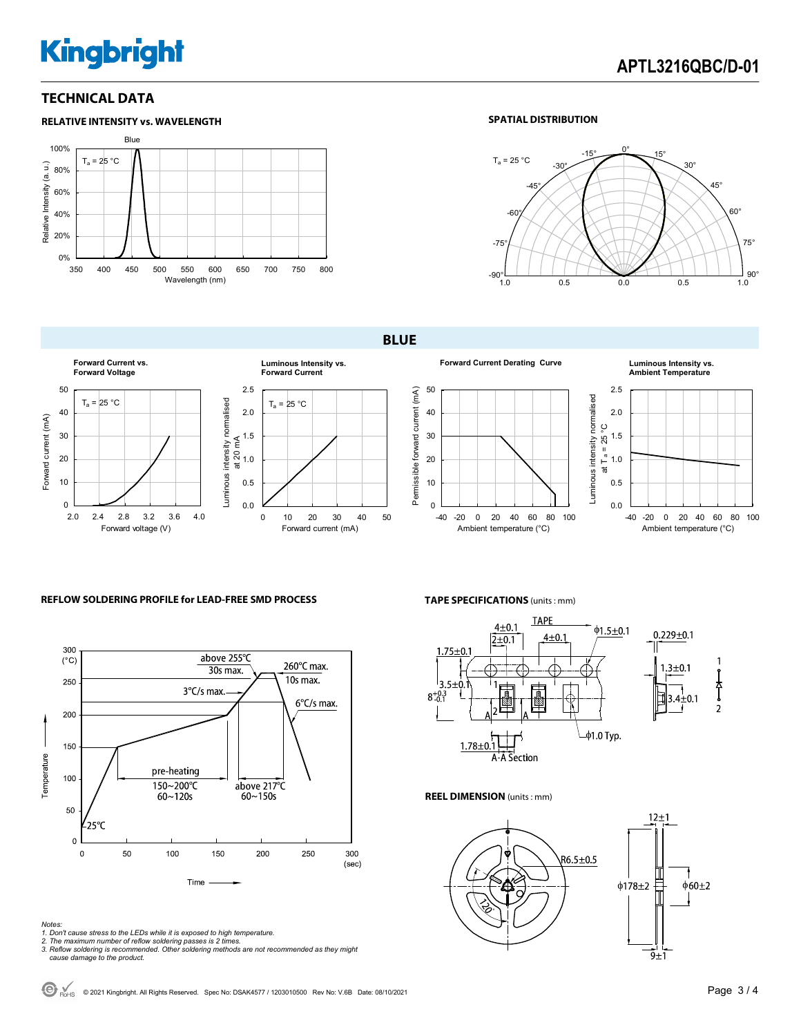# **Kingbright**

### **TECHNICAL DATA**



#### **SPATIAL DISTRIBUTION**



**BLUE** 



**Forward Current Derating Curve Luminous Intensity vs.** 



## **Ambient Temperature**



**REFLOW SOLDERING PROFILE for LEAD-FREE SMD PROCESS**



#### *Notes:*

- *1. Don't cause stress to the LEDs while it is exposed to high temperature.*
- 
- *2. The maximum number of reflow soldering passes is 2 times. 3. Reflow soldering is recommended. Other soldering methods are not recommended as they might cause damage to the product.*

**TAPE SPECIFICATIONS** (units : mm)



**REEL DIMENSION** (units : mm)



 $\bigodot$  R<sub>OHS</sub> © 2021 Kingbright. All Rights Reserved. Spec No: DSAK4577 / 1203010500 Rev No: V.6B Date: 08/10/2021